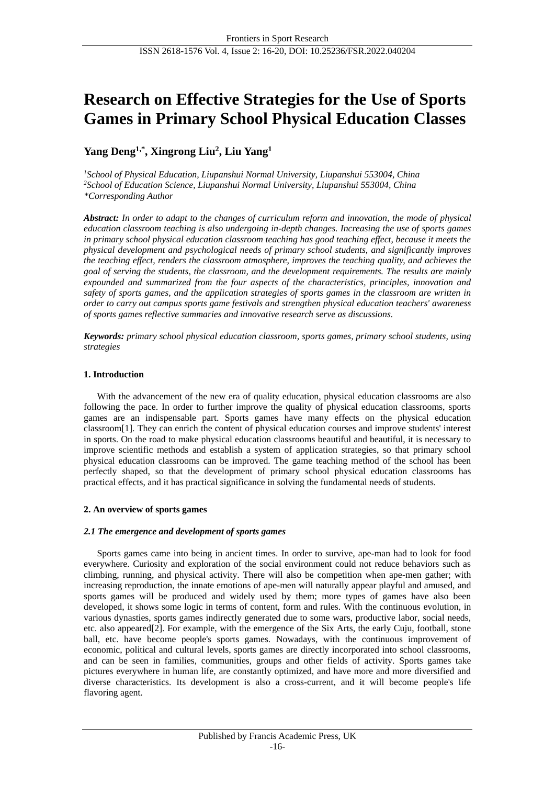# **Research on Effective Strategies for the Use of Sports Games in Primary School Physical Education Classes**

# **Yang Deng1,\* , Xingrong Liu<sup>2</sup> , Liu Yang<sup>1</sup>**

*<sup>1</sup>School of Physical Education, Liupanshui Normal University, Liupanshui 553004, China <sup>2</sup>School of Education Science, Liupanshui Normal University, Liupanshui 553004, China \*Corresponding Author*

*Abstract: In order to adapt to the changes of curriculum reform and innovation, the mode of physical education classroom teaching is also undergoing in-depth changes. Increasing the use of sports games in primary school physical education classroom teaching has good teaching effect, because it meets the physical development and psychological needs of primary school students, and significantly improves the teaching effect, renders the classroom atmosphere, improves the teaching quality, and achieves the goal of serving the students, the classroom, and the development requirements. The results are mainly expounded and summarized from the four aspects of the characteristics, principles, innovation and safety of sports games, and the application strategies of sports games in the classroom are written in order to carry out campus sports game festivals and strengthen physical education teachers' awareness of sports games reflective summaries and innovative research serve as discussions.*

*Keywords: primary school physical education classroom, sports games, primary school students, using strategies*

# **1. Introduction**

With the advancement of the new era of quality education, physical education classrooms are also following the pace. In order to further improve the quality of physical education classrooms, sports games are an indispensable part. Sports games have many effects on the physical education classroom[1]. They can enrich the content of physical education courses and improve students' interest in sports. On the road to make physical education classrooms beautiful and beautiful, it is necessary to improve scientific methods and establish a system of application strategies, so that primary school physical education classrooms can be improved. The game teaching method of the school has been perfectly shaped, so that the development of primary school physical education classrooms has practical effects, and it has practical significance in solving the fundamental needs of students.

# **2. An overview of sports games**

# *2.1 The emergence and development of sports games*

Sports games came into being in ancient times. In order to survive, ape-man had to look for food everywhere. Curiosity and exploration of the social environment could not reduce behaviors such as climbing, running, and physical activity. There will also be competition when ape-men gather; with increasing reproduction, the innate emotions of ape-men will naturally appear playful and amused, and sports games will be produced and widely used by them; more types of games have also been developed, it shows some logic in terms of content, form and rules. With the continuous evolution, in various dynasties, sports games indirectly generated due to some wars, productive labor, social needs, etc. also appeared[2]. For example, with the emergence of the Six Arts, the early Cuju, football, stone ball, etc. have become people's sports games. Nowadays, with the continuous improvement of economic, political and cultural levels, sports games are directly incorporated into school classrooms, and can be seen in families, communities, groups and other fields of activity. Sports games take pictures everywhere in human life, are constantly optimized, and have more and more diversified and diverse characteristics. Its development is also a cross-current, and it will become people's life flavoring agent.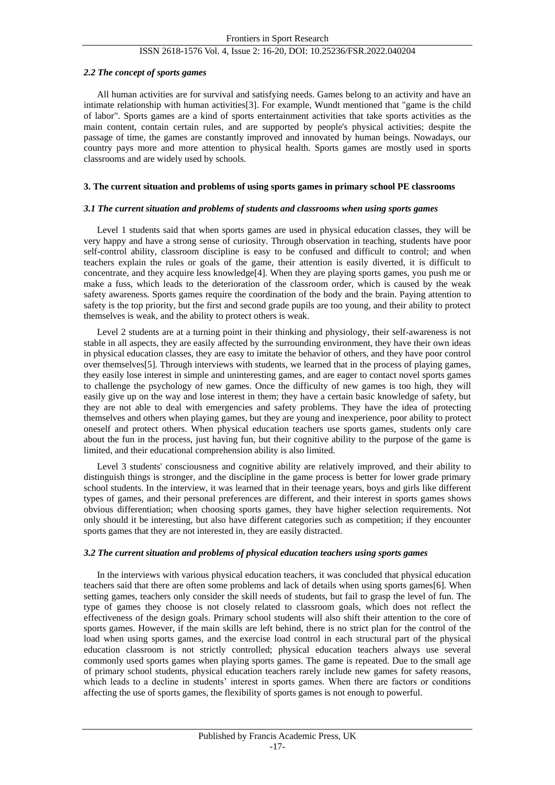#### *2.2 The concept of sports games*

All human activities are for survival and satisfying needs. Games belong to an activity and have an intimate relationship with human activities[3]. For example, Wundt mentioned that "game is the child of labor". Sports games are a kind of sports entertainment activities that take sports activities as the main content, contain certain rules, and are supported by people's physical activities; despite the passage of time, the games are constantly improved and innovated by human beings. Nowadays, our country pays more and more attention to physical health. Sports games are mostly used in sports classrooms and are widely used by schools.

#### **3. The current situation and problems of using sports games in primary school PE classrooms**

#### *3.1 The current situation and problems of students and classrooms when using sports games*

Level 1 students said that when sports games are used in physical education classes, they will be very happy and have a strong sense of curiosity. Through observation in teaching, students have poor self-control ability, classroom discipline is easy to be confused and difficult to control; and when teachers explain the rules or goals of the game, their attention is easily diverted, it is difficult to concentrate, and they acquire less knowledge[4]. When they are playing sports games, you push me or make a fuss, which leads to the deterioration of the classroom order, which is caused by the weak safety awareness. Sports games require the coordination of the body and the brain. Paying attention to safety is the top priority, but the first and second grade pupils are too young, and their ability to protect themselves is weak, and the ability to protect others is weak.

Level 2 students are at a turning point in their thinking and physiology, their self-awareness is not stable in all aspects, they are easily affected by the surrounding environment, they have their own ideas in physical education classes, they are easy to imitate the behavior of others, and they have poor control over themselves[5]. Through interviews with students, we learned that in the process of playing games, they easily lose interest in simple and uninteresting games, and are eager to contact novel sports games to challenge the psychology of new games. Once the difficulty of new games is too high, they will easily give up on the way and lose interest in them; they have a certain basic knowledge of safety, but they are not able to deal with emergencies and safety problems. They have the idea of protecting themselves and others when playing games, but they are young and inexperience, poor ability to protect oneself and protect others. When physical education teachers use sports games, students only care about the fun in the process, just having fun, but their cognitive ability to the purpose of the game is limited, and their educational comprehension ability is also limited.

Level 3 students' consciousness and cognitive ability are relatively improved, and their ability to distinguish things is stronger, and the discipline in the game process is better for lower grade primary school students. In the interview, it was learned that in their teenage years, boys and girls like different types of games, and their personal preferences are different, and their interest in sports games shows obvious differentiation; when choosing sports games, they have higher selection requirements. Not only should it be interesting, but also have different categories such as competition; if they encounter sports games that they are not interested in, they are easily distracted.

# *3.2 The current situation and problems of physical education teachers using sports games*

In the interviews with various physical education teachers, it was concluded that physical education teachers said that there are often some problems and lack of details when using sports games[6]. When setting games, teachers only consider the skill needs of students, but fail to grasp the level of fun. The type of games they choose is not closely related to classroom goals, which does not reflect the effectiveness of the design goals. Primary school students will also shift their attention to the core of sports games. However, if the main skills are left behind, there is no strict plan for the control of the load when using sports games, and the exercise load control in each structural part of the physical education classroom is not strictly controlled; physical education teachers always use several commonly used sports games when playing sports games. The game is repeated. Due to the small age of primary school students, physical education teachers rarely include new games for safety reasons, which leads to a decline in students' interest in sports games. When there are factors or conditions affecting the use of sports games, the flexibility of sports games is not enough to powerful.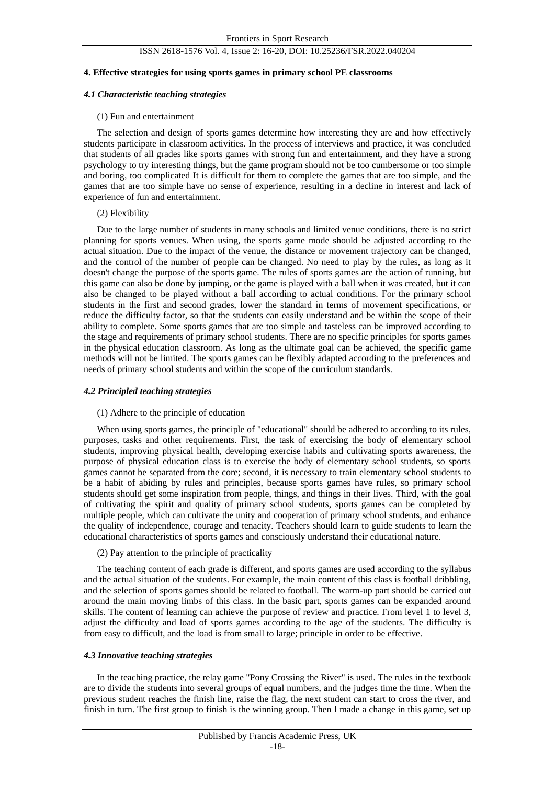#### **4. Effective strategies for using sports games in primary school PE classrooms**

#### *4.1 Characteristic teaching strategies*

#### (1) Fun and entertainment

The selection and design of sports games determine how interesting they are and how effectively students participate in classroom activities. In the process of interviews and practice, it was concluded that students of all grades like sports games with strong fun and entertainment, and they have a strong psychology to try interesting things, but the game program should not be too cumbersome or too simple and boring, too complicated It is difficult for them to complete the games that are too simple, and the games that are too simple have no sense of experience, resulting in a decline in interest and lack of experience of fun and entertainment.

#### (2) Flexibility

Due to the large number of students in many schools and limited venue conditions, there is no strict planning for sports venues. When using, the sports game mode should be adjusted according to the actual situation. Due to the impact of the venue, the distance or movement trajectory can be changed, and the control of the number of people can be changed. No need to play by the rules, as long as it doesn't change the purpose of the sports game. The rules of sports games are the action of running, but this game can also be done by jumping, or the game is played with a ball when it was created, but it can also be changed to be played without a ball according to actual conditions. For the primary school students in the first and second grades, lower the standard in terms of movement specifications, or reduce the difficulty factor, so that the students can easily understand and be within the scope of their ability to complete. Some sports games that are too simple and tasteless can be improved according to the stage and requirements of primary school students. There are no specific principles for sports games in the physical education classroom. As long as the ultimate goal can be achieved, the specific game methods will not be limited. The sports games can be flexibly adapted according to the preferences and needs of primary school students and within the scope of the curriculum standards.

#### *4.2 Principled teaching strategies*

#### (1) Adhere to the principle of education

When using sports games, the principle of "educational" should be adhered to according to its rules, purposes, tasks and other requirements. First, the task of exercising the body of elementary school students, improving physical health, developing exercise habits and cultivating sports awareness, the purpose of physical education class is to exercise the body of elementary school students, so sports games cannot be separated from the core; second, it is necessary to train elementary school students to be a habit of abiding by rules and principles, because sports games have rules, so primary school students should get some inspiration from people, things, and things in their lives. Third, with the goal of cultivating the spirit and quality of primary school students, sports games can be completed by multiple people, which can cultivate the unity and cooperation of primary school students, and enhance the quality of independence, courage and tenacity. Teachers should learn to guide students to learn the educational characteristics of sports games and consciously understand their educational nature.

(2) Pay attention to the principle of practicality

The teaching content of each grade is different, and sports games are used according to the syllabus and the actual situation of the students. For example, the main content of this class is football dribbling, and the selection of sports games should be related to football. The warm-up part should be carried out around the main moving limbs of this class. In the basic part, sports games can be expanded around skills. The content of learning can achieve the purpose of review and practice. From level 1 to level 3, adjust the difficulty and load of sports games according to the age of the students. The difficulty is from easy to difficult, and the load is from small to large; principle in order to be effective.

# *4.3 Innovative teaching strategies*

In the teaching practice, the relay game "Pony Crossing the River" is used. The rules in the textbook are to divide the students into several groups of equal numbers, and the judges time the time. When the previous student reaches the finish line, raise the flag, the next student can start to cross the river, and finish in turn. The first group to finish is the winning group. Then I made a change in this game, set up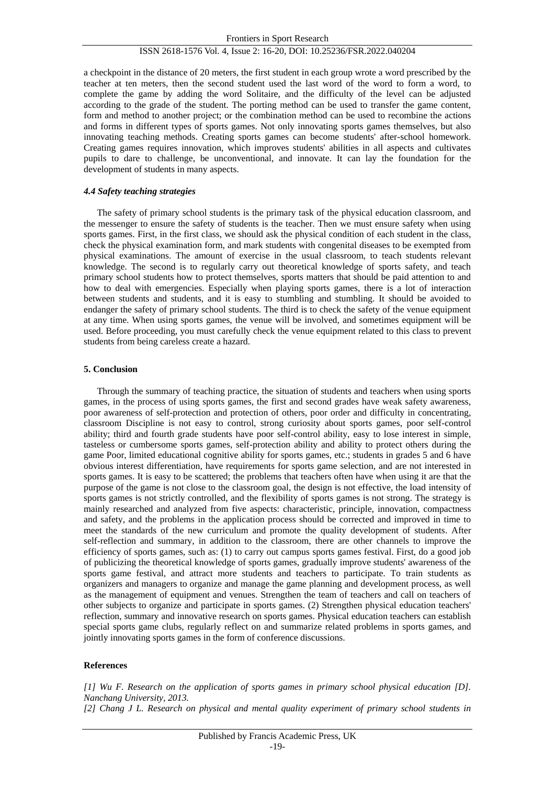a checkpoint in the distance of 20 meters, the first student in each group wrote a word prescribed by the teacher at ten meters, then the second student used the last word of the word to form a word, to complete the game by adding the word Solitaire, and the difficulty of the level can be adjusted according to the grade of the student. The porting method can be used to transfer the game content, form and method to another project; or the combination method can be used to recombine the actions and forms in different types of sports games. Not only innovating sports games themselves, but also innovating teaching methods. Creating sports games can become students' after-school homework. Creating games requires innovation, which improves students' abilities in all aspects and cultivates pupils to dare to challenge, be unconventional, and innovate. It can lay the foundation for the development of students in many aspects.

#### *4.4 Safety teaching strategies*

The safety of primary school students is the primary task of the physical education classroom, and the messenger to ensure the safety of students is the teacher. Then we must ensure safety when using sports games. First, in the first class, we should ask the physical condition of each student in the class, check the physical examination form, and mark students with congenital diseases to be exempted from physical examinations. The amount of exercise in the usual classroom, to teach students relevant knowledge. The second is to regularly carry out theoretical knowledge of sports safety, and teach primary school students how to protect themselves, sports matters that should be paid attention to and how to deal with emergencies. Especially when playing sports games, there is a lot of interaction between students and students, and it is easy to stumbling and stumbling. It should be avoided to endanger the safety of primary school students. The third is to check the safety of the venue equipment at any time. When using sports games, the venue will be involved, and sometimes equipment will be used. Before proceeding, you must carefully check the venue equipment related to this class to prevent students from being careless create a hazard.

## **5. Conclusion**

Through the summary of teaching practice, the situation of students and teachers when using sports games, in the process of using sports games, the first and second grades have weak safety awareness, poor awareness of self-protection and protection of others, poor order and difficulty in concentrating, classroom Discipline is not easy to control, strong curiosity about sports games, poor self-control ability; third and fourth grade students have poor self-control ability, easy to lose interest in simple, tasteless or cumbersome sports games, self-protection ability and ability to protect others during the game Poor, limited educational cognitive ability for sports games, etc.; students in grades 5 and 6 have obvious interest differentiation, have requirements for sports game selection, and are not interested in sports games. It is easy to be scattered; the problems that teachers often have when using it are that the purpose of the game is not close to the classroom goal, the design is not effective, the load intensity of sports games is not strictly controlled, and the flexibility of sports games is not strong. The strategy is mainly researched and analyzed from five aspects: characteristic, principle, innovation, compactness and safety, and the problems in the application process should be corrected and improved in time to meet the standards of the new curriculum and promote the quality development of students. After self-reflection and summary, in addition to the classroom, there are other channels to improve the efficiency of sports games, such as: (1) to carry out campus sports games festival. First, do a good job of publicizing the theoretical knowledge of sports games, gradually improve students' awareness of the sports game festival, and attract more students and teachers to participate. To train students as organizers and managers to organize and manage the game planning and development process, as well as the management of equipment and venues. Strengthen the team of teachers and call on teachers of other subjects to organize and participate in sports games. (2) Strengthen physical education teachers' reflection, summary and innovative research on sports games. Physical education teachers can establish special sports game clubs, regularly reflect on and summarize related problems in sports games, and jointly innovating sports games in the form of conference discussions.

#### **References**

*[1] Wu F. Research on the application of sports games in primary school physical education [D]. Nanchang University, 2013. [2] Chang J L. Research on physical and mental quality experiment of primary school students in*